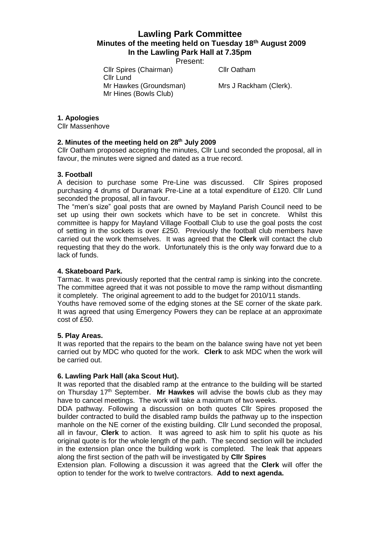# **Lawling Park Committee Minutes of the meeting held on Tuesday 18th August 2009 In the Lawling Park Hall at 7.35pm**

Present:

Cllr Spires (Chairman) Cllr Oatham

Mr Hawkes (Groundsman) Mrs J Rackham (Clerk).

**1. Apologies**

Cllr Massenhove

### **2. Minutes of the meeting held on 28th July 2009**

Mr Hines (Bowls Club)

Cllr Lund

Cllr Oatham proposed accepting the minutes, Cllr Lund seconded the proposal, all in favour, the minutes were signed and dated as a true record.

### **3. Football**

A decision to purchase some Pre-Line was discussed. Cllr Spires proposed purchasing 4 drums of Duramark Pre-Line at a total expenditure of £120. Cllr Lund seconded the proposal, all in favour.

The "men's size" goal posts that are owned by Mayland Parish Council need to be set up using their own sockets which have to be set in concrete. Whilst this committee is happy for Mayland Village Football Club to use the goal posts the cost of setting in the sockets is over £250. Previously the football club members have carried out the work themselves. It was agreed that the **Clerk** will contact the club requesting that they do the work. Unfortunately this is the only way forward due to a lack of funds.

### **4. Skateboard Park.**

Tarmac. It was previously reported that the central ramp is sinking into the concrete. The committee agreed that it was not possible to move the ramp without dismantling it completely. The original agreement to add to the budget for 2010/11 stands.

Youths have removed some of the edging stones at the SE corner of the skate park. It was agreed that using Emergency Powers they can be replace at an approximate cost of £50.

### **5. Play Areas.**

It was reported that the repairs to the beam on the balance swing have not yet been carried out by MDC who quoted for the work. **Clerk** to ask MDC when the work will be carried out.

### **6. Lawling Park Hall (aka Scout Hut).**

It was reported that the disabled ramp at the entrance to the building will be started on Thursday 17th September. **Mr Hawkes** will advise the bowls club as they may have to cancel meetings. The work will take a maximum of two weeks.

DDA pathway. Following a discussion on both quotes Cllr Spires proposed the builder contracted to build the disabled ramp builds the pathway up to the inspection manhole on the NE corner of the existing building. Cllr Lund seconded the proposal, all in favour, **Clerk** to action. It was agreed to ask him to split his quote as his original quote is for the whole length of the path. The second section will be included in the extension plan once the building work is completed. The leak that appears along the first section of the path will be investigated by **Cllr Spires**

Extension plan. Following a discussion it was agreed that the **Clerk** will offer the option to tender for the work to twelve contractors. **Add to next agenda.**